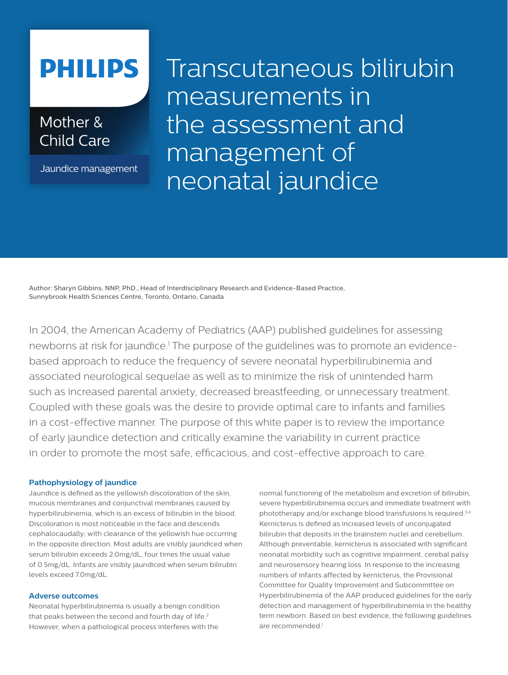# **PHILIPS**

Mother & Child Care

Jaundice management

Transcutaneous bilirubin measurements in the assessment and management of neonatal jaundice

Author: Sharyn Gibbins, NNP, PhD., Head of Interdisciplinary Research and Evidence-Based Practice, Sunnybrook Health Sciences Centre, Toronto, Ontario, Canada

In 2004, the American Academy of Pediatrics (AAP) published guidelines for assessing newborns at risk for jaundice.<sup>1</sup> The purpose of the guidelines was to promote an evidencebased approach to reduce the frequency of severe neonatal hyperbilirubinemia and associated neurological sequelae as well as to minimize the risk of unintended harm such as increased parental anxiety, decreased breastfeeding, or unnecessary treatment. Coupled with these goals was the desire to provide optimal care to infants and families in a cost-effective manner. The purpose of this white paper is to review the importance of early jaundice detection and critically examine the variability in current practice in order to promote the most safe, efficacious, and cost-effective approach to care.

# **Pathophysiology of jaundice**

Jaundice is defined as the yellowish discoloration of the skin, mucous membranes and conjunctival membranes caused by hyperbilirubinemia, which is an excess of bilirubin in the blood. Discoloration is most noticeable in the face and descends cephalocaudally; with clearance of the yellowish hue occurring in the opposite direction. Most adults are visibly jaundiced when serum bilirubin exceeds 2.0mg/dL, four times the usual value of 0.5mg/dL. Infants are visibly jaundiced when serum bilirubin levels exceed 7.0mg/dL.

# **Adverse outcomes**

Neonatal hyperbilirubinemia is usually a benign condition that peaks between the second and fourth day of life.<sup>2</sup> However, when a pathological process interferes with the

normal functioning of the metabolism and excretion of bilirubin, severe hyperbilirubinemia occurs and immediate treatment with phototherapy and/or exchange blood transfusions is required.3,4 Kernicterus is defined as increased levels of unconjugated bilirubin that deposits in the brainstem nuclei and cerebellum. Although preventable, kernicterus is associated with significant neonatal morbidity such as cognitive impairment, cerebal palsy and neurosensory hearing loss. In response to the increasing numbers of infants affected by kernicterus, the Provisional Committee for Quality Improvement and Subcommittee on Hyperbilirubinemia of the AAP produced guidelines for the early detection and management of hyperbilirubinemia in the healthy term newborn. Based on best evidence, the following guidelines are recommended<sup>1</sup>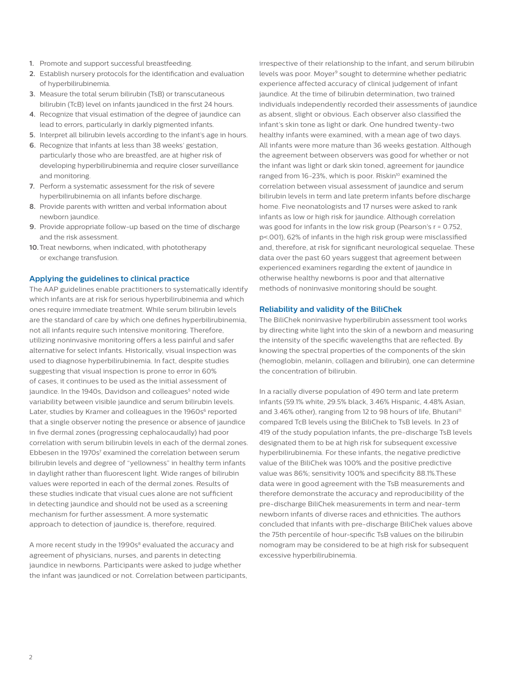- **1.** Promote and support successful breastfeeding.
- **2.** Establish nursery protocols for the identification and evaluation of hyperbilirubinemia.
- **3.** Measure the total serum bilirubin (TsB) or transcutaneous bilirubin (TcB) level on infants jaundiced in the first 24 hours.
- **4.** Recognize that visual estimation of the degree of jaundice can lead to errors, particularly in darkly pigmented infants.
- **5.** Interpret all bilirubin levels according to the infant's age in hours.
- **6.** Recognize that infants at less than 38 weeks' gestation, particularly those who are breastfed, are at higher risk of developing hyperbilirubinemia and require closer surveillance and monitoring.
- **7.** Perform a systematic assessment for the risk of severe hyperbilirubinemia on all infants before discharge.
- **8.** Provide parents with written and verbal information about newborn jaundice.
- **9.** Provide appropriate follow-up based on the time of discharge and the risk assessment.
- **10.**Treat newborns, when indicated, with phototherapy or exchange transfusion.

## **Applying the guidelines to clinical practice**

The AAP guidelines enable practitioners to systematically identify which infants are at risk for serious hyperbilirubinemia and which ones require immediate treatment. While serum bilirubin levels are the standard of care by which one defines hyperbilirubinemia, not all infants require such intensive monitoring. Therefore, utilizing noninvasive monitoring offers a less painful and safer alternative for select infants. Historically, visual inspection was used to diagnose hyperbilirubinemia. In fact, despite studies suggesting that visual inspection is prone to error in 60% of cases, it continues to be used as the initial assessment of jaundice. In the 1940s, Davidson and colleagues<sup>5</sup> noted wide variability between visible jaundice and serum bilirubin levels. Later, studies by Kramer and colleagues in the 1960s<sup>6</sup> reported that a single observer noting the presence or absence of jaundice in five dermal zones (progressing cephalocaudally) had poor correlation with serum bilirubin levels in each of the dermal zones. Ebbesen in the 1970s<sup>7</sup> examined the correlation between serum bilirubin levels and degree of "yellowness" in healthy term infants in daylight rather than fluorescent light. Wide ranges of bilirubin values were reported in each of the dermal zones. Results of these studies indicate that visual cues alone are not sufficient in detecting jaundice and should not be used as a screening mechanism for further assessment. A more systematic approach to detection of jaundice is, therefore, required.

A more recent study in the 1990s<sup>8</sup> evaluated the accuracy and agreement of physicians, nurses, and parents in detecting jaundice in newborns. Participants were asked to judge whether the infant was jaundiced or not. Correlation between participants, irrespective of their relationship to the infant, and serum bilirubin levels was poor. Moyer<sup>9</sup> sought to determine whether pediatric experience affected accuracy of clinical judgement of infant jaundice. At the time of bilirubin determination, two trained individuals independently recorded their assessments of jaundice as absent, slight or obvious. Each observer also classified the infant's skin tone as light or dark. One hundred twenty-two healthy infants were examined, with a mean age of two days. All infants were more mature than 36 weeks gestation. Although the agreement between observers was good for whether or not the infant was light or dark skin toned, agreement for jaundice ranged from 16-23%, which is poor. Riskin<sup>10</sup> examined the correlation between visual assessment of jaundice and serum bilirubin levels in term and late preterm infants before discharge home. Five neonatologists and 17 nurses were asked to rank infants as low or high risk for jaundice. Although correlation was good for infants in the low risk group (Pearson's r = 0.752, p<.001), 62% of infants in the high risk group were misclassified and, therefore, at risk for significant neurological sequelae. These data over the past 60 years suggest that agreement between experienced examiners regarding the extent of jaundice in otherwise healthy newborns is poor and that alternative methods of noninvasive monitoring should be sought.

## **Reliability and validity of the BiliChek**

The BiliChek noninvasive hyperbilirubin assessment tool works by directing white light into the skin of a newborn and measuring the intensity of the specific wavelengths that are reflected. By knowing the spectral properties of the components of the skin (hemoglobin, melanin, collagen and bilirubin), one can determine the concentration of bilirubin.

In a racially diverse population of 490 term and late preterm infants (59.1% white, 29.5% black, 3.46% Hispanic, 4.48% Asian, and 3.46% other), ranging from 12 to 98 hours of life, Bhutani<sup>11</sup> compared TcB levels using the BiliChek to TsB levels. In 23 of 419 of the study population infants, the pre-discharge TsB levels designated them to be at high risk for subsequent excessive hyperbilirubinemia. For these infants, the negative predictive value of the BiliChek was 100% and the positive predictive value was 86%; sensitivity 100% and specificity 88.1%.These data were in good agreement with the TsB measurements and therefore demonstrate the accuracy and reproducibility of the pre-discharge BiliChek measurements in term and near-term newborn infants of diverse races and ethnicities. The authors concluded that infants with pre-discharge BiliChek values above the 75th percentile of hour-specific TsB values on the bilirubin nomogram may be considered to be at high risk for subsequent excessive hyperbilirubinemia.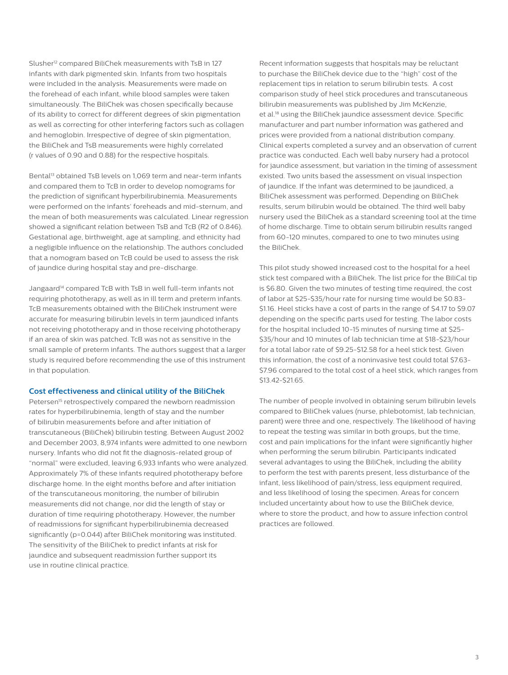Slusher<sup>12</sup> compared BiliChek measurements with TsB in 127 infants with dark pigmented skin. Infants from two hospitals were included in the analysis. Measurements were made on the forehead of each infant, while blood samples were taken simultaneously. The BiliChek was chosen specifically because of its ability to correct for different degrees of skin pigmentation as well as correcting for other interfering factors such as collagen and hemoglobin. Irrespective of degree of skin pigmentation, the BiliChek and TsB measurements were highly correlated (r values of 0.90 and 0.88) for the respective hospitals.

Bental<sup>13</sup> obtained TsB levels on 1,069 term and near-term infants and compared them to TcB in order to develop nomograms for the prediction of significant hyperbilirubinemia. Measurements were performed on the infants' foreheads and mid-sternum, and the mean of both measurements was calculated. Linear regression showed a significant relation between TsB and TcB (R2 of 0.846). Gestational age, birthweight, age at sampling, and ethnicity had a negligible influence on the relationship. The authors concluded that a nomogram based on TcB could be used to assess the risk of jaundice during hospital stay and pre-discharge.

Jangaard<sup>14</sup> compared TcB with TsB in well full-term infants not requiring phototherapy, as well as in ill term and preterm infants. TcB measurements obtained with the BiliChek instrument were accurate for measuring bilirubin levels in term jaundiced infants not receiving phototherapy and in those receiving phototherapy if an area of skin was patched. TcB was not as sensitive in the small sample of preterm infants. The authors suggest that a larger study is required before recommending the use of this instrument in that population.

### **Cost effectiveness and clinical utility of the BiliChek**

Petersen<sup>15</sup> retrospectively compared the newborn readmission rates for hyperbilirubinemia, length of stay and the number of bilirubin measurements before and after initiation of transcutaneous (BiliChek) bilirubin testing. Between August 2002 and December 2003, 8,974 infants were admitted to one newborn nursery. Infants who did not fit the diagnosis-related group of "normal" were excluded, leaving 6,933 infants who were analyzed. Approximately 7% of these infants required phototherapy before discharge home. In the eight months before and after initiation of the transcutaneous monitoring, the number of bilirubin measurements did not change, nor did the length of stay or duration of time requiring phototherapy. However, the number of readmissions for significant hyperbilirubinemia decreased significantly (p=0.044) after BiliChek monitoring was instituted. The sensitivity of the BiliChek to predict infants at risk for jaundice and subsequent readmission further support its use in routine clinical practice.

Recent information suggests that hospitals may be reluctant to purchase the BiliChek device due to the "high" cost of the replacement tips in relation to serum bilirubin tests. A cost comparison study of heel stick procedures and transcutaneous bilirubin measurements was published by Jim McKenzie, et al.18 using the BiliChek jaundice assessment device. Specific manufacturer and part number information was gathered and prices were provided from a national distribution company. Clinical experts completed a survey and an observation of current practice was conducted. Each well baby nursery had a protocol for jaundice assessment, but variation in the timing of assessment existed. Two units based the assessment on visual inspection of jaundice. If the infant was determined to be jaundiced, a BiliChek assessment was performed. Depending on BiliChek results, serum bilirubin would be obtained. The third well baby nursery used the BiliChek as a standard screening tool at the time of home discharge. Time to obtain serum bilirubin results ranged from 60-120 minutes, compared to one to two minutes using the BiliChek.

This pilot study showed increased cost to the hospital for a heel stick test compared with a BiliChek. The list price for the BiliCal tip is \$6.80. Given the two minutes of testing time required, the cost of labor at \$25-\$35/hour rate for nursing time would be \$0.83- \$1.16. Heel sticks have a cost of parts in the range of \$4.17 to \$9.07 depending on the specific parts used for testing. The labor costs for the hospital included 10-15 minutes of nursing time at \$25- \$35/hour and 10 minutes of lab technician time at \$18-\$23/hour for a total labor rate of \$9.25-\$12.58 for a heel stick test. Given this information, the cost of a noninvasive test could total \$7.63- \$7.96 compared to the total cost of a heel stick, which ranges from \$13.42-\$21.65.

The number of people involved in obtaining serum bilirubin levels compared to BiliChek values (nurse, phlebotomist, lab technician, parent) were three and one, respectively. The likelihood of having to repeat the testing was similar in both groups, but the time, cost and pain implications for the infant were significantly higher when performing the serum bilirubin. Participants indicated several advantages to using the BiliChek, including the ability to perform the test with parents present, less disturbance of the infant, less likelihood of pain/stress, less equipment required, and less likelihood of losing the specimen. Areas for concern included uncertainty about how to use the BiliChek device, where to store the product, and how to assure infection control practices are followed.